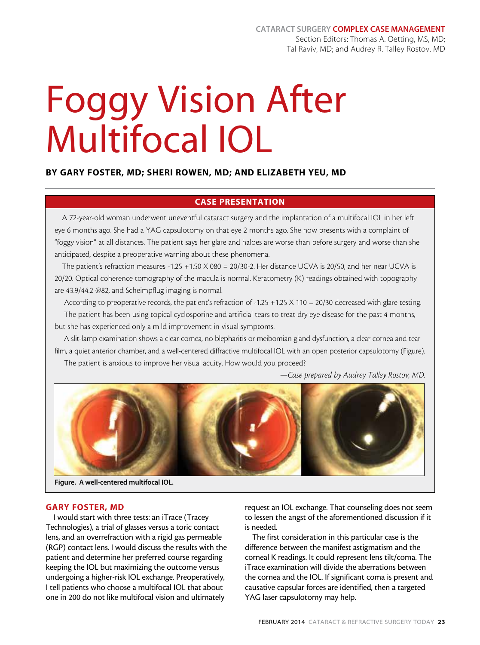# Foggy Vision After Multifocal IOL

### By Gary Foster, MD; Sheri Rowen, MD; and Elizabeth Yeu, MD

## CASE PRESENTATION

A 72-year-old woman underwent uneventful cataract surgery and the implantation of a multifocal IOL in her left eye 6 months ago. She had a YAG capsulotomy on that eye 2 months ago. She now presents with a complaint of "foggy vision" at all distances. The patient says her glare and haloes are worse than before surgery and worse than she anticipated, despite a preoperative warning about these phenomena.

The patient's refraction measures -1.25 +1.50 X 080 = 20/30-2. Her distance UCVA is 20/50, and her near UCVA is 20/20. Optical coherence tomography of the macula is normal. Keratometry (K) readings obtained with topography are 43.9/44.2 @82, and Scheimpflug imaging is normal.

According to preoperative records, the patient's refraction of -1.25 +1.25 X 110 = 20/30 decreased with glare testing.

The patient has been using topical cyclosporine and artificial tears to treat dry eye disease for the past 4 months, but she has experienced only a mild improvement in visual symptoms.

A slit-lamp examination shows a clear cornea, no blepharitis or meibomian gland dysfunction, a clear cornea and tear film, a quiet anterior chamber, and a well-centered diffractive multifocal IOL with an open posterior capsulotomy (Figure). The patient is anxious to improve her visual acuity. How would you proceed?

*—Case prepared by Audrey Talley Rostov, MD.*



Figure. A well-centered multifocal IOL.

#### GARY FOSTER, MD

I would start with three tests: an iTrace (Tracey Technologies), a trial of glasses versus a toric contact lens, and an overrefraction with a rigid gas permeable (RGP) contact lens. I would discuss the results with the patient and determine her preferred course regarding keeping the IOL but maximizing the outcome versus undergoing a higher-risk IOL exchange. Preoperatively, I tell patients who choose a multifocal IOL that about one in 200 do not like multifocal vision and ultimately

request an IOL exchange. That counseling does not seem to lessen the angst of the aforementioned discussion if it is needed.

The first consideration in this particular case is the difference between the manifest astigmatism and the corneal K readings. It could represent lens tilt/coma. The iTrace examination will divide the aberrations between the cornea and the IOL. If significant coma is present and causative capsular forces are identified, then a targeted YAG laser capsulotomy may help.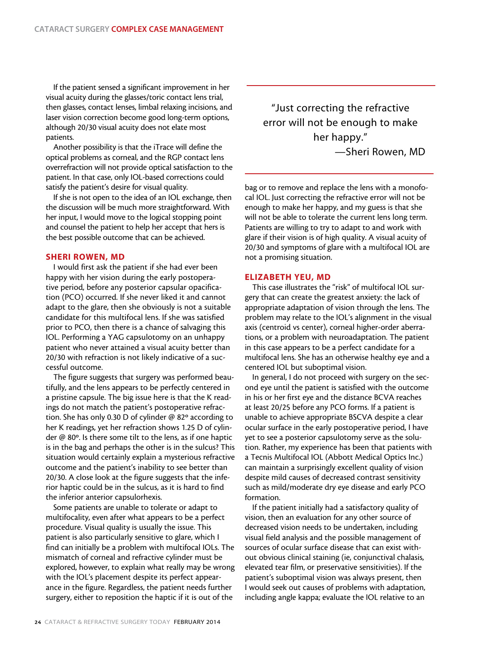If the patient sensed a significant improvement in her visual acuity during the glasses/toric contact lens trial, then glasses, contact lenses, limbal relaxing incisions, and laser vision correction become good long-term options, although 20/30 visual acuity does not elate most patients.

Another possibility is that the iTrace will define the optical problems as corneal, and the RGP contact lens overrefraction will not provide optical satisfaction to the patient. In that case, only IOL-based corrections could satisfy the patient's desire for visual quality.

If she is not open to the idea of an IOL exchange, then the discussion will be much more straightforward. With her input, I would move to the logical stopping point and counsel the patient to help her accept that hers is the best possible outcome that can be achieved.

#### SHERI ROWEN, MD

I would first ask the patient if she had ever been happy with her vision during the early postoperative period, before any posterior capsular opacification (PCO) occurred. If she never liked it and cannot adapt to the glare, then she obviously is not a suitable candidate for this multifocal lens. If she was satisfied prior to PCO, then there is a chance of salvaging this IOL. Performing a YAG capsulotomy on an unhappy patient who never attained a visual acuity better than 20/30 with refraction is not likely indicative of a successful outcome.

The figure suggests that surgery was performed beautifully, and the lens appears to be perfectly centered in a pristine capsule. The big issue here is that the K readings do not match the patient's postoperative refraction. She has only 0.30 D of cylinder @ 82º according to her K readings, yet her refraction shows 1.25 D of cylinder @ 80º. Is there some tilt to the lens, as if one haptic is in the bag and perhaps the other is in the sulcus? This situation would certainly explain a mysterious refractive outcome and the patient's inability to see better than 20/30. A close look at the figure suggests that the inferior haptic could be in the sulcus, as it is hard to find the inferior anterior capsulorhexis.

Some patients are unable to tolerate or adapt to multifocality, even after what appears to be a perfect procedure. Visual quality is usually the issue. This patient is also particularly sensitive to glare, which I find can initially be a problem with multifocal IOLs. The mismatch of corneal and refractive cylinder must be explored, however, to explain what really may be wrong with the IOL's placement despite its perfect appearance in the figure. Regardless, the patient needs further surgery, either to reposition the haptic if it is out of the

"Just correcting the refractive error will not be enough to make her happy." —Sheri Rowen, MD

bag or to remove and replace the lens with a monofocal IOL. Just correcting the refractive error will not be enough to make her happy, and my guess is that she will not be able to tolerate the current lens long term. Patients are willing to try to adapt to and work with glare if their vision is of high quality. A visual acuity of 20/30 and symptoms of glare with a multifocal IOL are not a promising situation.

#### ELIZABETH YEU, MD

This case illustrates the "risk" of multifocal IOL surgery that can create the greatest anxiety: the lack of appropriate adaptation of vision through the lens. The problem may relate to the IOL's alignment in the visual axis (centroid vs center), corneal higher-order aberrations, or a problem with neuroadaptation. The patient in this case appears to be a perfect candidate for a multifocal lens. She has an otherwise healthy eye and a centered IOL but suboptimal vision.

In general, I do not proceed with surgery on the second eye until the patient is satisfied with the outcome in his or her first eye and the distance BCVA reaches at least 20/25 before any PCO forms. If a patient is unable to achieve appropriate BSCVA despite a clear ocular surface in the early postoperative period, I have yet to see a posterior capsulotomy serve as the solution. Rather, my experience has been that patients with a Tecnis Multifocal IOL (Abbott Medical Optics Inc.) can maintain a surprisingly excellent quality of vision despite mild causes of decreased contrast sensitivity such as mild/moderate dry eye disease and early PCO formation.

If the patient initially had a satisfactory quality of vision, then an evaluation for any other source of decreased vision needs to be undertaken, including visual field analysis and the possible management of sources of ocular surface disease that can exist without obvious clinical staining (ie, conjunctival chalasis, elevated tear film, or preservative sensitivities). If the patient's suboptimal vision was always present, then I would seek out causes of problems with adaptation, including angle kappa; evaluate the IOL relative to an